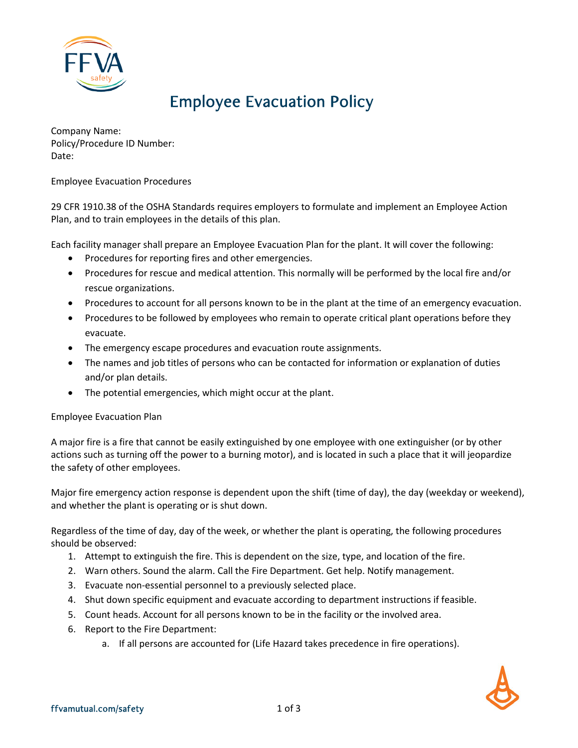

# Employee Evacuation Policy

Company Name: Policy/Procedure ID Number: Date:

Employee Evacuation Procedures

29 CFR 1910.38 of the OSHA Standards requires employers to formulate and implement an Employee Action Plan, and to train employees in the details of this plan.

Each facility manager shall prepare an Employee Evacuation Plan for the plant. It will cover the following:

- Procedures for reporting fires and other emergencies.
- Procedures for rescue and medical attention. This normally will be performed by the local fire and/or rescue organizations.
- Procedures to account for all persons known to be in the plant at the time of an emergency evacuation.
- Procedures to be followed by employees who remain to operate critical plant operations before they evacuate.
- The emergency escape procedures and evacuation route assignments.
- The names and job titles of persons who can be contacted for information or explanation of duties and/or plan details.
- The potential emergencies, which might occur at the plant.

#### Employee Evacuation Plan

A major fire is a fire that cannot be easily extinguished by one employee with one extinguisher (or by other actions such as turning off the power to a burning motor), and is located in such a place that it will jeopardize the safety of other employees.

Major fire emergency action response is dependent upon the shift (time of day), the day (weekday or weekend), and whether the plant is operating or is shut down.

Regardless of the time of day, day of the week, or whether the plant is operating, the following procedures should be observed:

- 1. Attempt to extinguish the fire. This is dependent on the size, type, and location of the fire.
- 2. Warn others. Sound the alarm. Call the Fire Department. Get help. Notify management.
- 3. Evacuate non-essential personnel to a previously selected place.
- 4. Shut down specific equipment and evacuate according to department instructions if feasible.
- 5. Count heads. Account for all persons known to be in the facility or the involved area.
- 6. Report to the Fire Department:
	- a. If all persons are accounted for (Life Hazard takes precedence in fire operations).

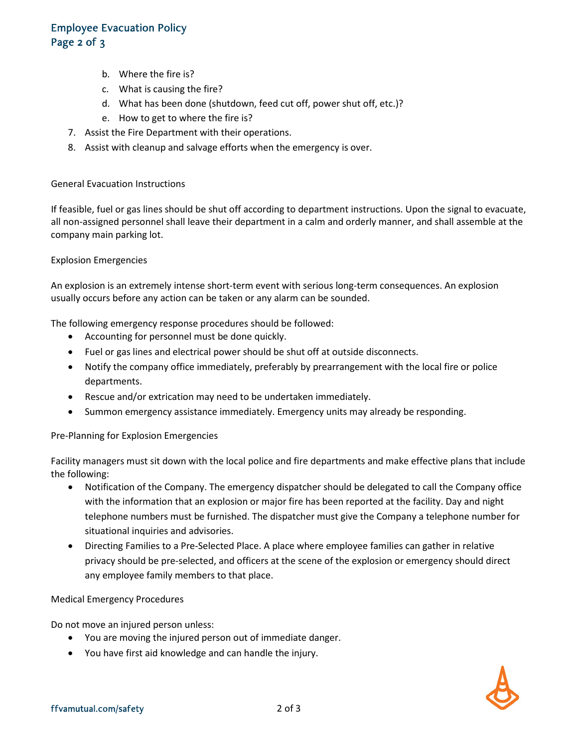## Employee Evacuation Policy Page 2 of 3

- b. Where the fire is?
- c. What is causing the fire?
- d. What has been done (shutdown, feed cut off, power shut off, etc.)?
- e. How to get to where the fire is?
- 7. Assist the Fire Department with their operations.
- 8. Assist with cleanup and salvage efforts when the emergency is over.

#### General Evacuation Instructions

If feasible, fuel or gas lines should be shut off according to department instructions. Upon the signal to evacuate, all non-assigned personnel shall leave their department in a calm and orderly manner, and shall assemble at the company main parking lot.

#### Explosion Emergencies

An explosion is an extremely intense short-term event with serious long-term consequences. An explosion usually occurs before any action can be taken or any alarm can be sounded.

The following emergency response procedures should be followed:

- Accounting for personnel must be done quickly.
- Fuel or gas lines and electrical power should be shut off at outside disconnects.
- Notify the company office immediately, preferably by prearrangement with the local fire or police departments.
- Rescue and/or extrication may need to be undertaken immediately.
- Summon emergency assistance immediately. Emergency units may already be responding.

#### Pre-Planning for Explosion Emergencies

Facility managers must sit down with the local police and fire departments and make effective plans that include the following:

- Notification of the Company. The emergency dispatcher should be delegated to call the Company office with the information that an explosion or major fire has been reported at the facility. Day and night telephone numbers must be furnished. The dispatcher must give the Company a telephone number for situational inquiries and advisories.
- Directing Families to a Pre-Selected Place. A place where employee families can gather in relative privacy should be pre-selected, and officers at the scene of the explosion or emergency should direct any employee family members to that place.

#### Medical Emergency Procedures

Do not move an injured person unless:

- You are moving the injured person out of immediate danger.
- You have first aid knowledge and can handle the injury.